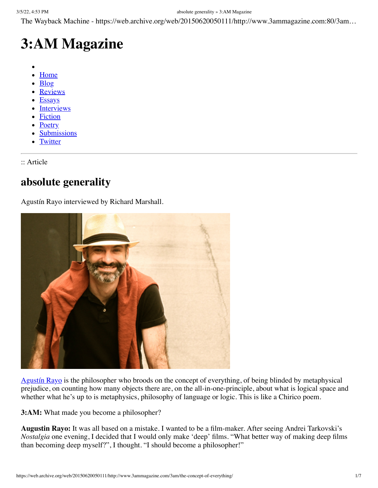The Wayback Machine - https://web.archive.org/web/20150620050111/http://www.3ammagazine.com:80/3am…

# **3:AM Magazine**

- 
- [Home](https://web.archive.org/web/20150620050111/http://www.3ammagazine.com/3am/)
- [Blog](https://web.archive.org/web/20150620050111/http://www.3ammagazine.com/3am/buzzwords/)
- **[Reviews](https://web.archive.org/web/20150620050111/http://www.3ammagazine.com/3am/index/criticism/)**
- [Essays](https://web.archive.org/web/20150620050111/http://www.3ammagazine.com/3am/index/nonfiction/)
- **[Interviews](https://web.archive.org/web/20150620050111/http://www.3ammagazine.com/3am/index/interviews/)**
- [Fiction](https://web.archive.org/web/20150620050111/http://www.3ammagazine.com/3am/index/fiction/)
- **[Poetry](https://web.archive.org/web/20150620050111/http://www.3ammagazine.com/3am/index/poetry/)**
- **[Submissions](https://web.archive.org/web/20150620050111/http://www.3ammagazine.com/3am/submissions/)**
- **[Twitter](https://web.archive.org/web/20150620050111/http://twitter.com/3ammagazine)**

:: Article

### **absolute generality**

Agustín Rayo interviewed by Richard Marshall.



[Agustín Rayo](https://web.archive.org/web/20150620050111/http://web.mit.edu/arayo/www/) is the philosopher who broods on the concept of everything, of being blinded by metaphysical prejudice, on counting how many objects there are, on the all-in-one-principle, about what is logical space and whether what he's up to is metaphysics, philosophy of language or logic. This is like a Chirico poem.

**3:AM:** What made you become a philosopher?

**Augustin Rayo:** It was all based on a mistake. I wanted to be a film-maker. After seeing Andrei Tarkovski's *Nostalgia* one evening, I decided that I would only make 'deep' films. "What better way of making deep films than becoming deep myself?", I thought. "I should become a philosopher!"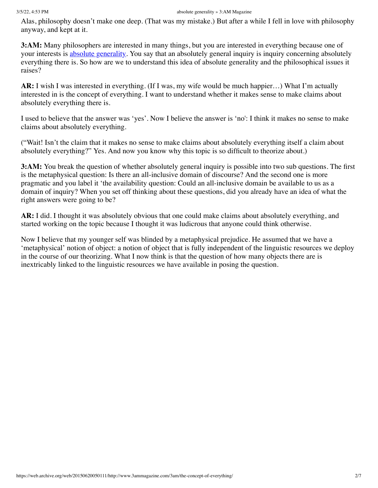### 3/5/22, 4:53 PM absolute generality » 3:AM Magazine

Alas, philosophy doesn't make one deep. (That was my mistake.) But after a while I fell in love with philosophy anyway, and kept at it.

**3:AM:** Many philosophers are interested in many things, but you are interested in everything because one of your interests is [absolute generality](https://web.archive.org/web/20150620050111/http://www.bookdepository.com/Absolute-Generality/9780199276431). You say that an absolutely general inquiry is inquiry concerning absolutely everything there is. So how are we to understand this idea of absolute generality and the philosophical issues it raises?

**AR:** I wish I was interested in everything. (If I was, my wife would be much happier…) What I'm actually interested in is the concept of everything. I want to understand whether it makes sense to make claims about absolutely everything there is.

I used to believe that the answer was 'yes'. Now I believe the answer is 'no': I think it makes no sense to make claims about absolutely everything.

("Wait! Isn't the claim that it makes no sense to make claims about absolutely everything itself a claim about absolutely everything?" Yes. And now you know why this topic is so difficult to theorize about.)

**3:AM:** You break the question of whether absolutely general inquiry is possible into two sub questions. The first is the metaphysical question: Is there an all-inclusive domain of discourse? And the second one is more pragmatic and you label it 'the availability question: Could an all-inclusive domain be available to us as a domain of inquiry? When you set off thinking about these questions, did you already have an idea of what the right answers were going to be?

**AR:** I did. I thought it was absolutely obvious that one could make claims about absolutely everything, and started working on the topic because I thought it was ludicrous that anyone could think otherwise.

Now I believe that my younger self was blinded by a metaphysical prejudice. He assumed that we have a 'metaphysical' notion of object: a notion of object that is fully independent of the linguistic resources we deploy in the course of our theorizing. What I now think is that the question of how many objects there are is inextricably linked to the linguistic resources we have available in posing the question.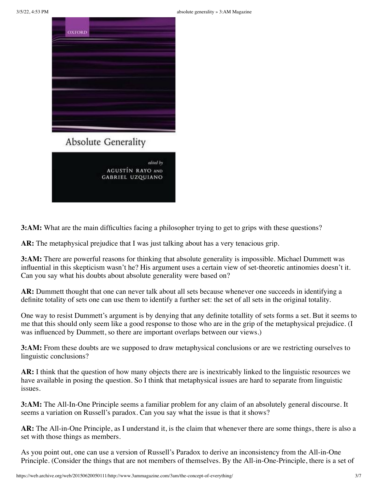

edited by **AGUSTÍN RAYO AND GABRIEL UZQUIANO** 

**3:AM:** What are the main difficulties facing a philosopher trying to get to grips with these questions?

**AR:** The metaphysical prejudice that I was just talking about has a very tenacious grip.

**3:AM:** There are powerful reasons for thinking that absolute generality is impossible. Michael Dummett was influential in this skepticism wasn't he? His argument uses a certain view of set-theoretic antinomies doesn't it. Can you say what his doubts about absolute generality were based on?

**AR:** Dummett thought that one can never talk about all sets because whenever one succeeds in identifying a definite totality of sets one can use them to identify a further set: the set of all sets in the original totality.

One way to resist Dummett's argument is by denying that any definite totallity of sets forms a set. But it seems to me that this should only seem like a good response to those who are in the grip of the metaphysical prejudice. (I was influenced by Dummett, so there are important overlaps between our views.)

**3:AM:** From these doubts are we supposed to draw metaphysical conclusions or are we restricting ourselves to linguistic conclusions?

**AR:** I think that the question of how many objects there are is inextricably linked to the linguistic resources we have available in posing the question. So I think that metaphysical issues are hard to separate from linguistic issues.

**3:AM:** The All-In-One Principle seems a familiar problem for any claim of an absolutely general discourse. It seems a variation on Russell's paradox. Can you say what the issue is that it shows?

**AR:** The All-in-One Principle, as I understand it, is the claim that whenever there are some things, there is also a set with those things as members.

As you point out, one can use a version of Russell's Paradox to derive an inconsistency from the All-in-One Principle. (Consider the things that are not members of themselves. By the All-in-One-Principle, there is a set of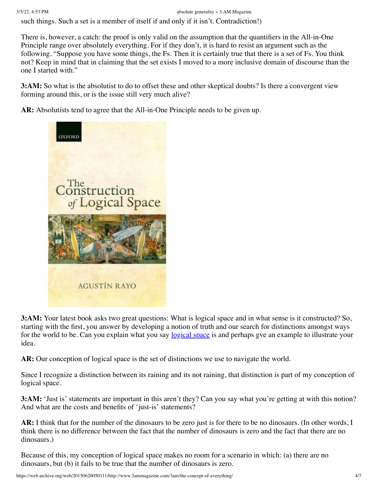such things. Such a set is a member of itself if and only if it isn't. Contradiction!)

There is, however, a catch: the proof is only valid on the assumption that the quantifiers in the All-in-One Principle range over absolutely everything. For if they don't, it is hard to resist an argument such as the following. "Suppose you have some things, the Fs. Then it is certainly true that there is a set of Fs. You think not? Keep in mind that in claiming that the set exists I moved to a more inclusive domain of discourse than the one I started with."

**3:AM:** So what is the absolutist to do to offset these and other skeptical doubts? Is there a convergent view forming around this, or is the issue still very much alive?

**AR:** Absolutists tend to agree that the All-in-One Principle needs to be given up.



**3:AM:** Your latest book asks two great questions: What is logical space and in what sense is it constructed? So, starting with the first, you answer by developing a notion of truth and our search for distinctions amongst ways for the world to be. Can you explain what you say [logical space](https://web.archive.org/web/20150620050111/http://www.bookdepository.com/Construction-Logical-Space-Agustin-Rayo/9780199662623) is and perhaps gve an example to illustrate your idea.

**AR:** Our conception of logical space is the set of distinctions we use to navigate the world.

Since I recognize a distinction between its raining and its not raining, that distinction is part of my conception of logical space.

**3:AM:** 'Just is' statements are important in this aren't they? Can you say what you're getting at with this notion? And what are the costs and benefits of 'just-is' statements?

**AR:** I think that for the number of the dinosaurs to be zero just is for there to be no dinosaurs. (In other words, I think there is no difference between the fact that the number of dinosaurs is zero and the fact that there are no dinosaurs.)

Because of this, my conception of logical space makes no room for a scenario in which: (a) there are no dinosaurs, but (b) it fails to be true that the number of dinosaurs is zero.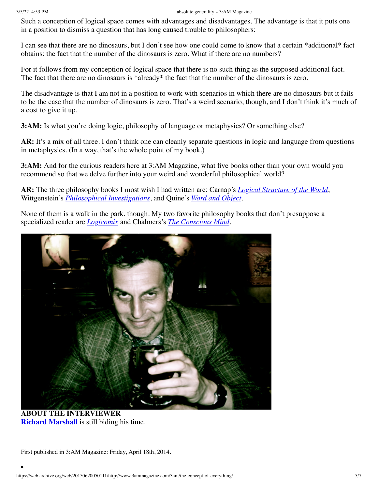Such a conception of logical space comes with advantages and disadvantages. The advantage is that it puts one in a position to dismiss a question that has long caused trouble to philosophers:

I can see that there are no dinosaurs, but I don't see how one could come to know that a certain \*additional\* fact obtains: the fact that the number of the dinosaurs is zero. What if there are no numbers?

For it follows from my conception of logical space that there is no such thing as the supposed additional fact. The fact that there are no dinosaurs is \*already\* the fact that the number of the dinosaurs is zero.

The disadvantage is that I am not in a position to work with scenarios in which there are no dinosaurs but it fails to be the case that the number of dinosaurs is zero. That's a weird scenario, though, and I don't think it's much of a cost to give it up.

**3:AM:** Is what you're doing logic, philosophy of language or metaphysics? Or something else?

**AR:** It's a mix of all three. I don't think one can cleanly separate questions in logic and language from questions in metaphysics. (In a way, that's the whole point of my book.)

**3:AM:** And for the curious readers here at 3:AM Magazine, what five books other than your own would you recommend so that we delve further into your weird and wonderful philosophical world?

**AR:** The three philosophy books I most wish I had written are: Carnap's *[Logical Structure of the World](https://web.archive.org/web/20150620050111/http://www.bookdepository.com/Logical-Structure-World-Pseudoproblems-Philosophy-Rudolf-Carnap/9780812695236)*, Wittgenstein's *[Philosophical Investigations](https://web.archive.org/web/20150620050111/http://www.bookdepository.com/search?searchTerm=Philosophical+Investigations&search=Find+book)*, and Quine's *[Word and Object](https://web.archive.org/web/20150620050111/http://www.bookdepository.com/Word-Object-Willard-Van-Orman-Quine/9780262518314)*.

None of them is a walk in the park, though. My two favorite philosophy books that don't presuppose a specialized reader are *[Logicomix](https://web.archive.org/web/20150620050111/http://www.bookdepository.com/Logicomix-Apostolos-Doxiadis/9780747597209)* and Chalmers's *[The Conscious Mind](https://web.archive.org/web/20150620050111/http://www.bookdepository.com/Conscious-Mind-David-John-Chalmers/9780195117899)*.



**ABOUT THE INTERVIEWER [Richard Marshall](https://web.archive.org/web/20150620050111/http://www.3ammagazine.com/3am/?s=%22richard+marshall%22)** is still biding his time.

First published in 3:AM Magazine: Friday, April 18th, 2014.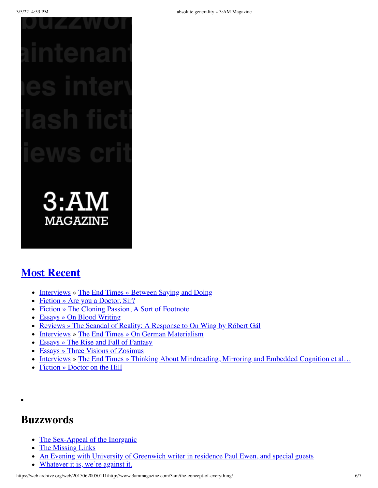$3:AM$ **MAGAZINE** 

## **[Most Recent](https://web.archive.org/web/20150620050111/http://www.3ammagazine.com/3am/)**

- [Interviews](https://web.archive.org/web/20150620050111/http://www.3ammagazine.com/3am/index/interviews/) » [The End Times](https://web.archive.org/web/20150620050111/http://www.3ammagazine.com/3am/index/interviews/the-end-times/) [» Between Saying and Doing](https://web.archive.org/web/20150620050111/http://www.3ammagazine.com/3am/between-saying-and-doing/)
- [Fiction](https://web.archive.org/web/20150620050111/http://www.3ammagazine.com/3am/index/fiction/) [» Are you a Doctor, Sir?](https://web.archive.org/web/20150620050111/http://www.3ammagazine.com/3am/are-you-a-doctor-sir/)
- [Fiction](https://web.archive.org/web/20150620050111/http://www.3ammagazine.com/3am/index/fiction/) [» The Cloning Passion, A Sort of Footnote](https://web.archive.org/web/20150620050111/http://www.3ammagazine.com/3am/the-cloning-passion-a-sort-of-footnote/)
- [Essays](https://web.archive.org/web/20150620050111/http://www.3ammagazine.com/3am/index/nonfiction/) [» On Blood Writing](https://web.archive.org/web/20150620050111/http://www.3ammagazine.com/3am/on-blood-writing/)
- [Reviews](https://web.archive.org/web/20150620050111/http://www.3ammagazine.com/3am/index/criticism/) [» The Scandal of Reality: A Response to On Wing by Róbert Gál](https://web.archive.org/web/20150620050111/http://www.3ammagazine.com/3am/the-scandal-of-reality/)
- [Interviews](https://web.archive.org/web/20150620050111/http://www.3ammagazine.com/3am/index/interviews/) » [The End Times](https://web.archive.org/web/20150620050111/http://www.3ammagazine.com/3am/index/interviews/the-end-times/) [» On German Materialism](https://web.archive.org/web/20150620050111/http://www.3ammagazine.com/3am/on-german-materialism/)
- [Essays](https://web.archive.org/web/20150620050111/http://www.3ammagazine.com/3am/index/nonfiction/) [» The Rise and Fall of Fantasy](https://web.archive.org/web/20150620050111/http://www.3ammagazine.com/3am/the-rise-and-fall-of-fantasy/)
- [Essays](https://web.archive.org/web/20150620050111/http://www.3ammagazine.com/3am/index/nonfiction/) [» Three Visions of Zosimus](https://web.archive.org/web/20150620050111/http://www.3ammagazine.com/3am/three-visions-of-zosimus/)
- [Interviews](https://web.archive.org/web/20150620050111/http://www.3ammagazine.com/3am/index/interviews/) » [The End Times](https://web.archive.org/web/20150620050111/http://www.3ammagazine.com/3am/index/interviews/the-end-times/) » Thinking About Mindreading, Mirroring and Embedded Cognition et al...
- $\bullet$  [Fiction](https://web.archive.org/web/20150620050111/http://www.3ammagazine.com/3am/index/fiction/) [» Doctor on the Hill](https://web.archive.org/web/20150620050111/http://www.3ammagazine.com/3am/doctor-on-the-hill/)

### **Buzzwords**

- [The Sex-Appeal of the Inorganic](https://web.archive.org/web/20150620050111/http://www.3ammagazine.com/3am/the-sex-appeal-of-the-inorganic/)
- [The Missing Links](https://web.archive.org/web/20150620050111/http://www.3ammagazine.com/3am/the-missing-links-311/)
- [An Evening with University of Greenwich writer in residence Paul Ewen, and special guests](https://web.archive.org/web/20150620050111/http://www.3ammagazine.com/3am/an-evening-with-university-of-greenwich-writer-in-residence-paul-ewen-and-special-guests/)
- [Whatever it is, we're against it.](https://web.archive.org/web/20150620050111/http://www.3ammagazine.com/3am/whatever-it-is-were-against-it-3/)